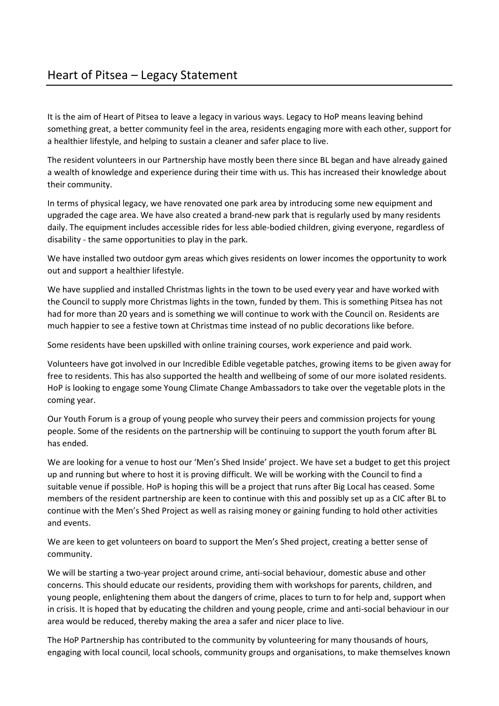It is the aim of Heart of Pitsea to leave a legacy in various ways. Legacy to HoP means leaving behind something great, a better community feel in the area, residents engaging more with each other, support for a healthier lifestyle, and helping to sustain a cleaner and safer place to live.

The resident volunteers in our Partnership have mostly been there since BL began and have already gained a wealth of knowledge and experience during their time with us. This has increased their knowledge about their community.

In terms of physical legacy, we have renovated one park area by introducing some new equipment and upgraded the cage area. We have also created a brand-new park that is regularly used by many residents daily. The equipment includes accessible rides for less able-bodied children, giving everyone, regardless of disability - the same opportunities to play in the park.

We have installed two outdoor gym areas which gives residents on lower incomes the opportunity to work out and support a healthier lifestyle.

We have supplied and installed Christmas lights in the town to be used every year and have worked with the Council to supply more Christmas lights in the town, funded by them. This is something Pitsea has not had for more than 20 years and is something we will continue to work with the Council on. Residents are much happier to see a festive town at Christmas time instead of no public decorations like before.

Some residents have been upskilled with online training courses, work experience and paid work.

Volunteers have got involved in our Incredible Edible vegetable patches, growing items to be given away for free to residents. This has also supported the health and wellbeing of some of our more isolated residents. HoP is looking to engage some Young Climate Change Ambassadors to take over the vegetable plots in the coming year.

Our Youth Forum is a group of young people who survey their peers and commission projects for young people. Some of the residents on the partnership will be continuing to support the youth forum after BL has ended.

We are looking for a venue to host our 'Men's Shed Inside' project. We have set a budget to get this project up and running but where to host it is proving difficult. We will be working with the Council to find a suitable venue if possible. HoP is hoping this will be a project that runs after Big Local has ceased. Some members of the resident partnership are keen to continue with this and possibly set up as a CIC after BL to continue with the Men's Shed Project as well as raising money or gaining funding to hold other activities and events.

We are keen to get volunteers on board to support the Men's Shed project, creating a better sense of community.

We will be starting a two-year project around crime, anti-social behaviour, domestic abuse and other concerns. This should educate our residents, providing them with workshops for parents, children, and young people, enlightening them about the dangers of crime, places to turn to for help and, support when in crisis. It is hoped that by educating the children and young people, crime and anti-social behaviour in our area would be reduced, thereby making the area a safer and nicer place to live.

The HoP Partnership has contributed to the community by volunteering for many thousands of hours, engaging with local council, local schools, community groups and organisations, to make themselves known